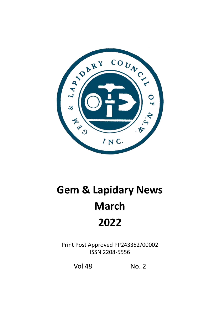

## **Gem & Lapidary News March 2022**

Print Post Approved PP243352/00002 ISSN 2208-5556

Vol 48 No. 2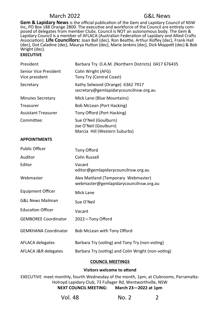**Gem & Lapidary News** is the official publication of the Gem and Lapidary Council of NSW Inc, PO Box 188 Orange 2800. The executive and workforce of the Council are entirely composed of delegates from member Clubs. Council is NOT an autonomous body. The Gem & Lapidary Council is a member of AFLACA (Australian Federation of Lapidary and Allied Crafts Association). **Life Councillors:** Joan Ball (dec), Ron Beattie, Arthur Roffey (dec), Frank Hall (dec), Dot Caladine (dec), Maurya Hutton (dec), Marie Jenkins (dec), Dick Moppett (dec) & Bob Wright (dec).

#### **EXECUTIVE**

| President                               | Barbara Try O.A.M. (Northern Districts) 0417 676435                             |
|-----------------------------------------|---------------------------------------------------------------------------------|
| Senior Vice President<br>Vice president | Colin Wright (AFG)<br>Tony Try (Central Coast)                                  |
| Secretary                               | Kathy Selwood (Orange) 6362 7917<br>secretary@gemlapidarycouncilnsw.org.au      |
| <b>Minutes Secretary</b>                | Mick Lane (Blue Mountains)                                                      |
| Treasurer                               | Bob McLean (Port Hacking)                                                       |
| <b>Assistant Treasurer</b>              | Tony Offord (Port Hacking)                                                      |
| Committee:                              | Sue O'Neil (Goulburn)<br>Joe O'Neil (Goulburn)<br>Marcia Hill (Western Suburbs) |

#### **APPOINTMENTS**

| <b>Public Officer</b>       | Tony Offord                                                                   |
|-----------------------------|-------------------------------------------------------------------------------|
| Auditor                     | Colin Russell                                                                 |
| Editor                      | Vacant<br>editor@gemlapidarycouncilnsw.org.au                                 |
| Webmaster                   | Alex Maitland (Temporary Webmaster)<br>webmaster@gemlapidarycouncilnsw.org.au |
| <b>Equipment Officer</b>    | Mick Lane                                                                     |
| <b>G&amp;L News Mailman</b> | Sue O'Neil                                                                    |
| <b>Education Officer</b>    | Vacant                                                                        |
| <b>GEMBOREE Coordinator</b> | 2022-Tony Offord                                                              |
| <b>GEMKHANA Coordinator</b> | Bob McLean with Tony Offord                                                   |
| AFLACA delegates            | Barbara Try (voting) and Tony Try (non-voting)                                |
| AFLACA J&R delegates        | Barbara Try (voting) and Colin Wright (non-voting)                            |

#### **COUNCIL MEETINGS**

#### **Visitors welcome to attend**

EXECUTIVE meet monthly, fourth Wednesday of the month, 1pm, at Clubrooms, Parramatta-Holroyd Lapidary Club, 73 Fullager Rd, Wentworthville, NSW **NEXT COUNCIL MEETING: March 23—2022 at 1pm** 

| Vol. 48<br>No. 2 |  |
|------------------|--|
|------------------|--|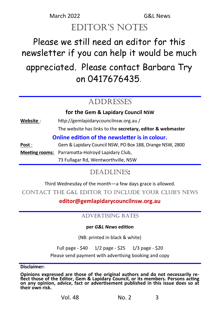## March 2022 G&L News editor's notes

## Please we still need an editor for this newsletter if you can help it would be much appreciated. Please contact Barbara Try on 0417676435*.*

## ADDRESSES

**for the Gem & Lapidary Council NSW**

**Website** : http://gemlapidarycouncilnsw.org.au / The website has links to the **secretary, editor & webmaster**

#### **Online edition of the newsletter is in colour.**

**Post** : Gem & Lapidary Council NSW, PO Box 188, Orange NSW, 2800 **Meeting rooms:** Parramatta-Holroyd Lapidary Club, 73 Fullagar Rd, Wentworthville, NSW

### Deadlines**:**

Third Wednesday of the month—a few days grace is allowed.

ContaCt the G&L editor to inCLude your CLub's news

**editor@gemlapidarycouncilnsw.org.au**

#### ADVERTISING RATES

#### **per** *G&L News* **edition**

(NB: printed in black & white)

Full page - \$40 1/2 page - \$25 1/3 page - \$20

Please send payment with advertising booking and copy

**Disclaimer:** 

**Opinions expressed are those of the original authors and do not necessarily reflect those of the Editor, Gem & Lapidary Council, or its members. Persons acting on any opinion, advice, fact or advertisement published in this issue does so at their own risk.**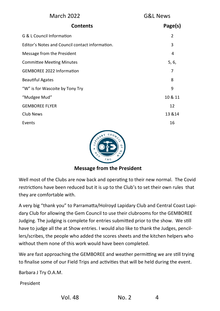| <b>March 2022</b>                               | G&L News       |  |
|-------------------------------------------------|----------------|--|
| <b>Contents</b>                                 | Page(s)        |  |
| G & L Council Information                       | $\overline{2}$ |  |
| Editor's Notes and Council contact information. | 3              |  |
| Message from the President                      | 4              |  |
| <b>Committee Meeting Minutes</b>                | 5, 6,          |  |
| <b>GEMBOREE 2022 Information</b>                | 7              |  |
| <b>Beautiful Agates</b>                         | 8              |  |
| "W" is for Wascoite by Tony Try                 | 9              |  |
| "Mudgee Mud"                                    | 10 & 11        |  |
| <b>GEMBOREE FLYER</b>                           | 12             |  |
| Club News                                       | 13 & 14        |  |
| Events                                          | 16             |  |
|                                                 |                |  |



#### **Message from the President**

Well most of the Clubs are now back and operating to their new normal. The Covid restrictions have been reduced but it is up to the Club's to set their own rules that they are comfortable with.

A very big "thank you" to Parramatta/Holroyd Lapidary Club and Central Coast Lapidary Club for allowing the Gem Council to use their clubrooms for the GEMBOREE Judging. The judging is complete for entries submitted prior to the show. We still have to judge all the at Show entries. I would also like to thank the Judges, pencillers/scribes, the people who added the scores sheets and the kitchen helpers who without them none of this work would have been completed.

We are fast approaching the GEMBOREE and weather permitting we are still trying to finalise some of our Field Trips and activities that will be held during the event.

Barbara J Try O.A.M.

President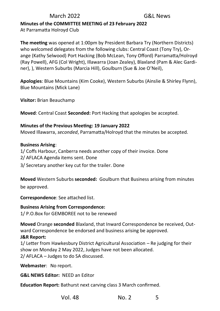#### **Minutes of the COMMITTEE MEETING of 23 February 2022**

At Parramatta Holroyd Club

**The meeting** was opened at 1:00pm by President Barbara Try (Northern Districts) who welcomed delegates from the following clubs: Central Coast (Tony Try), Orange (Kathy Selwood) Port Hacking (Bob McLean, Tony Offord) Parramatta/Holroyd (Ray Powell), AFG (Col Wright), Illawarra (Joan Zealey), Blaxland (Pam & Alec Gardiner), ), Western Suburbs (Marcia Hill), Goulburn (Sue & Joe O'Neil),

**Apologies**: Blue Mountains (Kim Cooke), Western Suburbs (Ainslie & Shirley Flynn), Blue Mountains (Mick Lane)

**Visitor:** Brian Beauchamp

**Moved**: Central Coast **Seconded:** Port Hacking that apologies be accepted.

#### **Minutes of the Previous Meeting: 19 January 2022**

Moved Illawarra, *seconded*, Parramatta/Holroyd that the minutes be accepted.

#### **Business Arising**:

1/ Coffs Harbour, Canberra needs another copy of their invoice. Done 2/ AFLACA Agenda items sent. Done

3/ Secretary another key cut for the trailer. Done

**Moved** Western Suburbs **seconded:** Goulburn that Business arising from minutes be approved.

**Correspondence**: See attached list.

#### **Business Arising from Correspondence:**

1/ P.O.Box for GEMBOREE not to be renewed

**Moved** Orange **seconded** Blaxland, that Inward Correspondence be received, Outward Correspondence be endorsed and business arising be approved.

#### **J&R Report:**

1/ Letter from Hawkesbury District Agricultural Association – Re judging for their show on Monday 2 May 2022, Judges have not been allocated. 2/ AFLACA – Judges to do SA discussed.

**Webmaster**: No report.

**G&L NEWS Editor:** NEED an Editor

**Education Report:** Bathurst next carving class 3 March confirmed.

Vol. 48 No. 2 5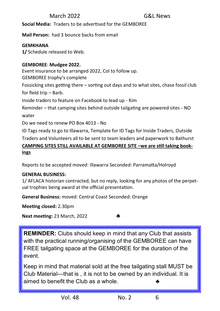**Social Media:** Traders to be advertised for the GEMBOREE

**Mail Person:** had 3 bounce backs from email

#### **GEMKHANA**

**1/** Schedule released to Web.

#### **GEMBOREE**: **Mudgee 2022.**

Event insurance to be arranged 2022, Col to follow up.

GEMBOREE trophy's complete

Fossicking sites getting there – sorting out days and to what sites, chase fossil club for field trip – Barb.

Inside traders to feature on Facebook to lead up - Kim

Reminder – that camping sites behind outside tailgating are powered sites - NO water

Do we need to renew PO Box 4013 - No

ID Tags ready to go to Illawarra, Template for ID Tags for Inside Traders, Outside Traders and Volunteers all to be sent to team leaders and paperwork to Bathurst

#### **CAMPING SITES STILL AVAILABLE AT GEMBOREE SITE –we are still taking bookings**

Reports to be accepted moved: Illawarra Seconded: Parramatta/Holroyd

#### **GENERAL BUSINESS:**

1/ AFLACA historian contracted, but no reply, looking for any photos of the perpetual trophies being award at the official presentation.

**General Business:** moved: Central Coast Seconded: Orange

**Meeting closed:** 2.30pm

**Next meeting:** 23 March, 2022 ♣

**REMINDER:** Clubs should keep in mind that any Club that assists with the practical running/organising of the GEMBOREE can have FREE tailgating space at the GEMBOREE for the duration of the event.

Keep in mind that material sold at the free tailgating stall MUST be Club Material—that is , it is not to be owned by an individual. It is aimed to benefit the Club as a whole.  $\clubsuit$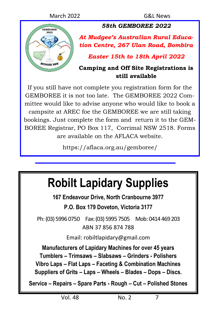

*58th GEMBOREE 2022*

*At Mudgee's Australian Rural Education Centre, 267 Ulan Road, Bombira*

*Easter 15th to 18th April 2022*

#### **Camping and Off Site Registrations is still available**

If you still have not complete you registration form for the GEMBOREE it is not too late. The GEMBOREE 2022 Committee would like to advise anyone who would like to book a campsite at AREC foe the GEMBOREE we are still taking bookings. Just complete the form and return it to the GEM-BOREE Registrar, PO Box 117, Corrimal NSW 2518. Forms are available on the AFLACA website.

https://aflaca.org.au/gemboree/

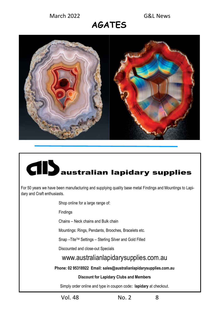## **AGATES**



# **CID** australian lapidary supplies

For 50 years we have been manufacturing and supplying quality base metal Findings and Mountings to Lapidary and Craft enthusiasts.

Shop online for a large range of:

Findings

Chains – Neck chains and Bulk chain

Mountings: Rings, Pendants, Brooches, Bracelets etc.

Snap –TiteTM Settings – Sterling Silver and Gold Filled

Discounted and close-out Specials

#### www.australianlapidarysupplies.com.au

**Phone: 02 95318922 Email: sales@australianlapidarysupplies.com.au**

#### **Discount for Lapidary Clubs and Members**

Simply order online and type in coupon code**: lapidary** at checkout.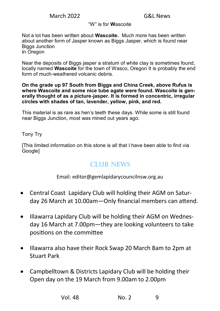#### "W" is for **W**ascoite

Not a lot has been written about **Wascoite.** Much more has been written about another form of Jasper known as Biggs Jasper, which is found near Biggs Junction In Oregon

Near the deposits of Biggs jasper a stratum of white clay is sometimes found, locally named **Wascoite** for the town of Wasco, Oregon It is probably the end form of much-weathered volcanic debris.

**On the grade up 97 South from Biggs and China Creek, above Rufus is where Wascoite and some nice tube agate were found. Wascoite is generally thought of as a picture-jasper. It is formed in concentric, irregular circles with shades of tan, lavender, yellow, pink, and red.**

This material is as rare as hen's teeth these days. While some is still found near Biggs Junction, most was mined out years ago.

Tony Try

[This limited information on this stone is all that I have been able to find via Google]

#### CLUB NEWS

Email: editor@gemlapidarycouncilnsw.org.au

- Central Coast Lapidary Club will holding their AGM on Saturday 26 March at 10.00am—Only financial members can attend.
- Illawarra Lapidary Club will be holding their AGM on Wednesday 16 March at 7.00pm—they are looking volunteers to take positions on the committee
- Illawarra also have their Rock Swap 20 March 8am to 2pm at Stuart Park
- Campbelltown & Districts Lapidary Club will be holding their Open day on the 19 March from 9.00am to 2.00pm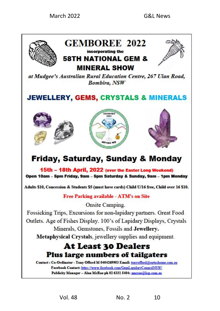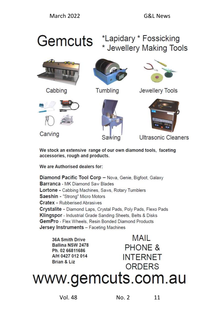## Gemcuts \*Lapidary \* Fossicking \* Jewellery Making Tools



Cabbing



Tumbling



Jewellery Tools



Carving





Ultrasonic Cleaners

We stock an extensive range of our own diamond tools, faceting accessories, rough and products.

We are Authorised dealers for:

Diamond Pacific Tool Corp - Nova, Genie, Bigfoot, Galaxy Barranca - MK Diamond Saw Blades Lortone - Cabbing Machines, Saws, Rotary Tumblers Saeshin - "Strong" Micro Motors **Cratex - Rubberised Abrasives** Crystalite - Diamond Laps, Crystal Pads, Poly Pads, Flexo Pads Klingspor - Industrial Grade Sanding Sheets, Belts & Disks GemPro - Flex Wheels, Resin Bonded Diamond Products **Jersey Instruments - Faceting Machines** 

36A Smith Drive Ballina NSW 2478 Ph. 02 66811686 A/H 0427 012 014 Brian & Liz

**MAIL PHONE & INTERNET** ORDERS

www.gemcuts.com.au

Vol. 48 No. 2 11